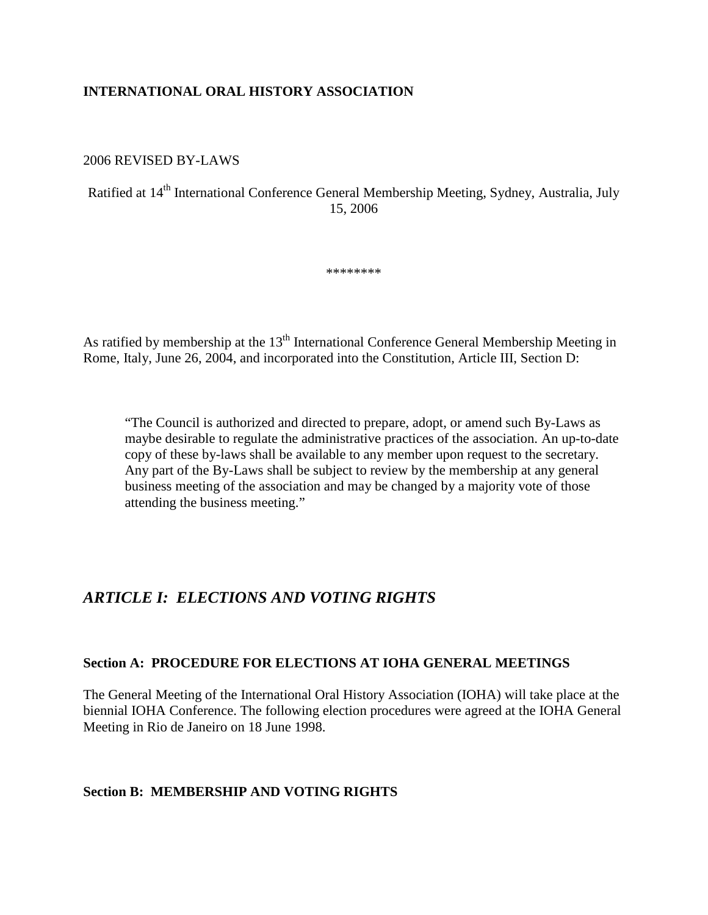#### **INTERNATIONAL ORAL HISTORY ASSOCIATION**

#### 2006 REVISED BY-LAWS

# Ratified at 14th International Conference General Membership Meeting, Sydney, Australia, July 15, 2006

\*\*\*\*\*\*\*\*

As ratified by membership at the  $13<sup>th</sup>$  International Conference General Membership Meeting in Rome, Italy, June 26, 2004, and incorporated into the Constitution, Article III, Section D:

"The Council is authorized and directed to prepare, adopt, or amend such By-Laws as maybe desirable to regulate the administrative practices of the association. An up-to-date copy of these by-laws shall be available to any member upon request to the secretary. Any part of the By-Laws shall be subject to review by the membership at any general business meeting of the association and may be changed by a majority vote of those attending the business meeting."

# *ARTICLE I: ELECTIONS AND VOTING RIGHTS*

#### **Section A: PROCEDURE FOR ELECTIONS AT IOHA GENERAL MEETINGS**

The General Meeting of the International Oral History Association (IOHA) will take place at the biennial IOHA Conference. The following election procedures were agreed at the IOHA General Meeting in Rio de Janeiro on 18 June 1998.

#### **Section B: MEMBERSHIP AND VOTING RIGHTS**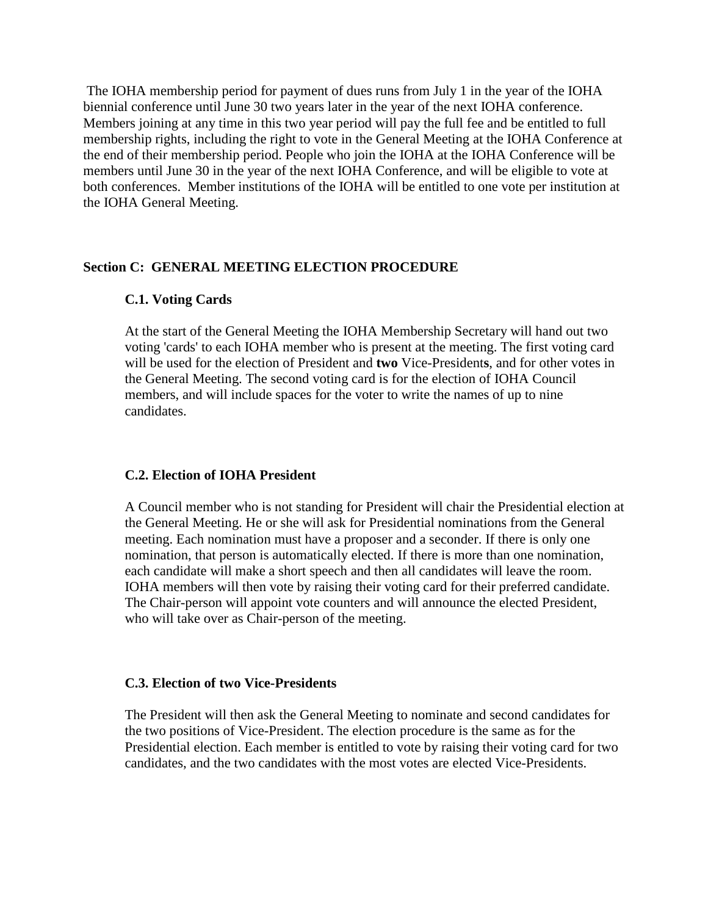The IOHA membership period for payment of dues runs from July 1 in the year of the IOHA biennial conference until June 30 two years later in the year of the next IOHA conference. Members joining at any time in this two year period will pay the full fee and be entitled to full membership rights, including the right to vote in the General Meeting at the IOHA Conference at the end of their membership period. People who join the IOHA at the IOHA Conference will be members until June 30 in the year of the next IOHA Conference, and will be eligible to vote at both conferences. Member institutions of the IOHA will be entitled to one vote per institution at the IOHA General Meeting.

#### **Section C: GENERAL MEETING ELECTION PROCEDURE**

#### **C.1. Voting Cards**

At the start of the General Meeting the IOHA Membership Secretary will hand out two voting 'cards' to each IOHA member who is present at the meeting. The first voting card will be used for the election of President and **two** Vice-President**s**, and for other votes in the General Meeting. The second voting card is for the election of IOHA Council members, and will include spaces for the voter to write the names of up to nine candidates.

#### **C.2. Election of IOHA President**

A Council member who is not standing for President will chair the Presidential election at the General Meeting. He or she will ask for Presidential nominations from the General meeting. Each nomination must have a proposer and a seconder. If there is only one nomination, that person is automatically elected. If there is more than one nomination, each candidate will make a short speech and then all candidates will leave the room. IOHA members will then vote by raising their voting card for their preferred candidate. The Chair-person will appoint vote counters and will announce the elected President, who will take over as Chair-person of the meeting.

#### **C.3. Election of two Vice-Presidents**

The President will then ask the General Meeting to nominate and second candidates for the two positions of Vice-President. The election procedure is the same as for the Presidential election. Each member is entitled to vote by raising their voting card for two candidates, and the two candidates with the most votes are elected Vice-Presidents.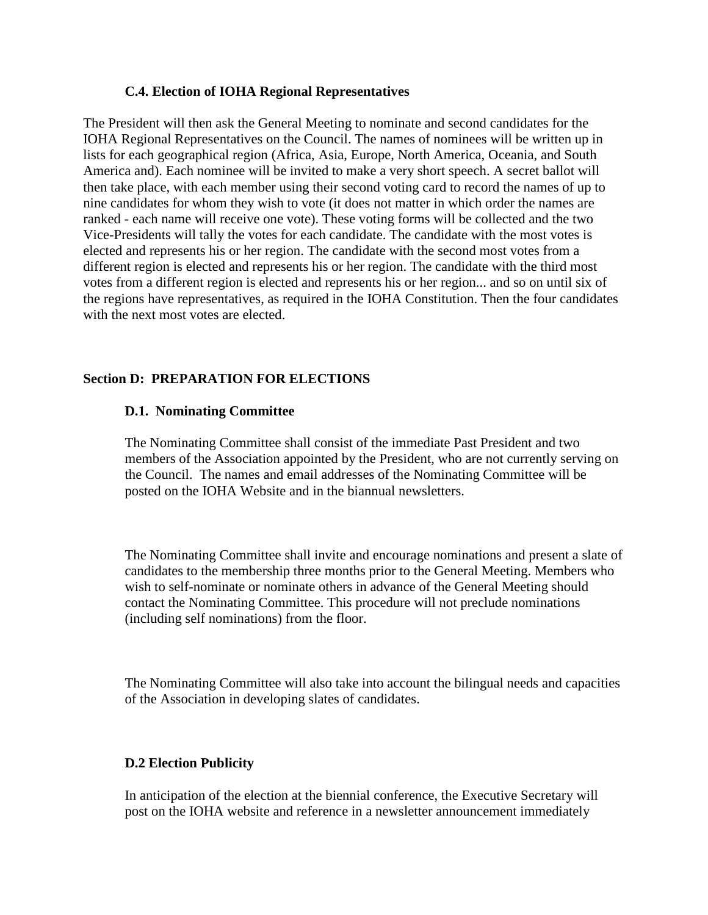#### **C.4. Election of IOHA Regional Representatives**

The President will then ask the General Meeting to nominate and second candidates for the IOHA Regional Representatives on the Council. The names of nominees will be written up in lists for each geographical region (Africa, Asia, Europe, North America, Oceania, and South America and). Each nominee will be invited to make a very short speech. A secret ballot will then take place, with each member using their second voting card to record the names of up to nine candidates for whom they wish to vote (it does not matter in which order the names are ranked - each name will receive one vote). These voting forms will be collected and the two Vice-Presidents will tally the votes for each candidate. The candidate with the most votes is elected and represents his or her region. The candidate with the second most votes from a different region is elected and represents his or her region. The candidate with the third most votes from a different region is elected and represents his or her region... and so on until six of the regions have representatives, as required in the IOHA Constitution. Then the four candidates with the next most votes are elected.

#### **Section D: PREPARATION FOR ELECTIONS**

#### **D.1. Nominating Committee**

The Nominating Committee shall consist of the immediate Past President and two members of the Association appointed by the President, who are not currently serving on the Council. The names and email addresses of the Nominating Committee will be posted on the IOHA Website and in the biannual newsletters.

The Nominating Committee shall invite and encourage nominations and present a slate of candidates to the membership three months prior to the General Meeting. Members who wish to self-nominate or nominate others in advance of the General Meeting should contact the Nominating Committee. This procedure will not preclude nominations (including self nominations) from the floor.

The Nominating Committee will also take into account the bilingual needs and capacities of the Association in developing slates of candidates.

#### **D.2 Election Publicity**

In anticipation of the election at the biennial conference, the Executive Secretary will post on the IOHA website and reference in a newsletter announcement immediately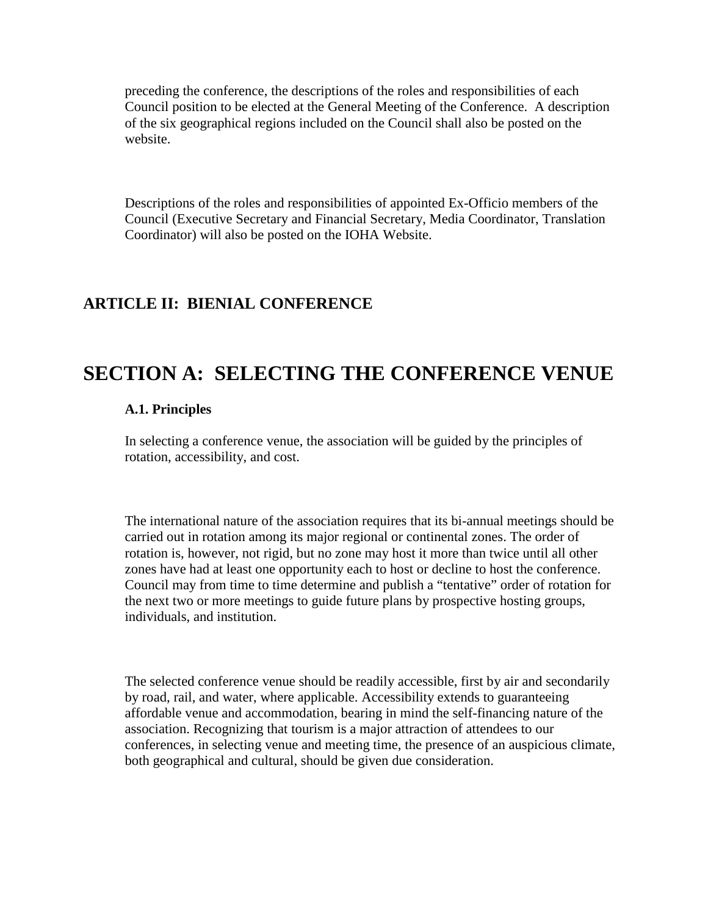preceding the conference, the descriptions of the roles and responsibilities of each Council position to be elected at the General Meeting of the Conference. A description of the six geographical regions included on the Council shall also be posted on the website.

Descriptions of the roles and responsibilities of appointed Ex-Officio members of the Council (Executive Secretary and Financial Secretary, Media Coordinator, Translation Coordinator) will also be posted on the IOHA Website.

# **ARTICLE II: BIENIAL CONFERENCE**

# **SECTION A: SELECTING THE CONFERENCE VENUE**

#### **A.1. Principles**

In selecting a conference venue, the association will be guided by the principles of rotation, accessibility, and cost.

The international nature of the association requires that its bi-annual meetings should be carried out in rotation among its major regional or continental zones. The order of rotation is, however, not rigid, but no zone may host it more than twice until all other zones have had at least one opportunity each to host or decline to host the conference. Council may from time to time determine and publish a "tentative" order of rotation for the next two or more meetings to guide future plans by prospective hosting groups, individuals, and institution.

The selected conference venue should be readily accessible, first by air and secondarily by road, rail, and water, where applicable. Accessibility extends to guaranteeing affordable venue and accommodation, bearing in mind the self-financing nature of the association. Recognizing that tourism is a major attraction of attendees to our conferences, in selecting venue and meeting time, the presence of an auspicious climate, both geographical and cultural, should be given due consideration.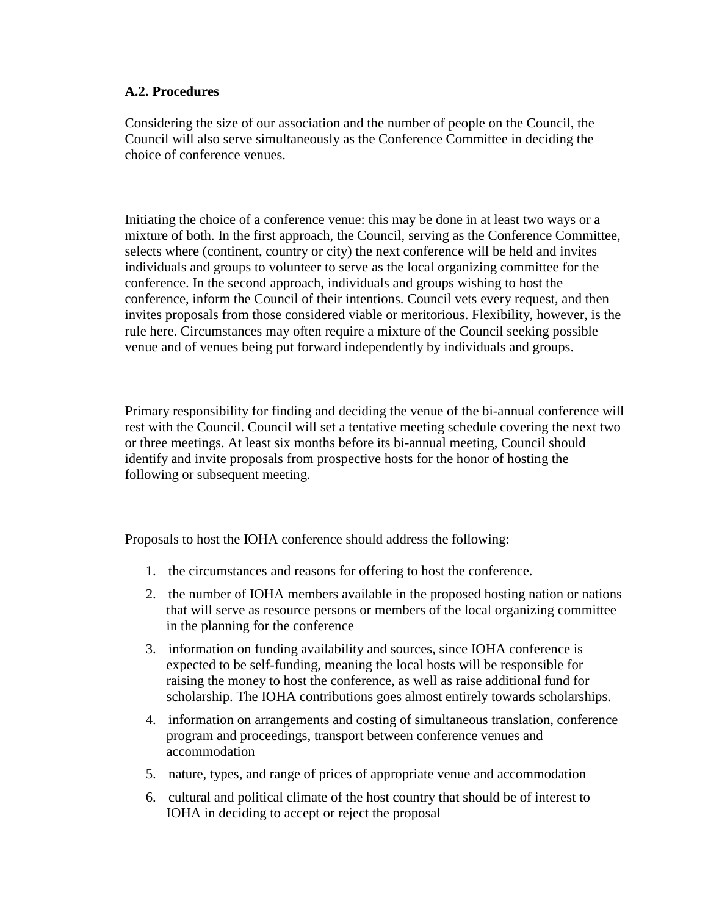#### **A.2. Procedures**

Considering the size of our association and the number of people on the Council, the Council will also serve simultaneously as the Conference Committee in deciding the choice of conference venues.

Initiating the choice of a conference venue: this may be done in at least two ways or a mixture of both. In the first approach, the Council, serving as the Conference Committee, selects where (continent, country or city) the next conference will be held and invites individuals and groups to volunteer to serve as the local organizing committee for the conference. In the second approach, individuals and groups wishing to host the conference, inform the Council of their intentions. Council vets every request, and then invites proposals from those considered viable or meritorious. Flexibility, however, is the rule here. Circumstances may often require a mixture of the Council seeking possible venue and of venues being put forward independently by individuals and groups.

Primary responsibility for finding and deciding the venue of the bi-annual conference will rest with the Council. Council will set a tentative meeting schedule covering the next two or three meetings. At least six months before its bi-annual meeting, Council should identify and invite proposals from prospective hosts for the honor of hosting the following or subsequent meeting.

Proposals to host the IOHA conference should address the following:

- 1. the circumstances and reasons for offering to host the conference.
- 2. the number of IOHA members available in the proposed hosting nation or nations that will serve as resource persons or members of the local organizing committee in the planning for the conference
- 3. information on funding availability and sources, since IOHA conference is expected to be self-funding, meaning the local hosts will be responsible for raising the money to host the conference, as well as raise additional fund for scholarship. The IOHA contributions goes almost entirely towards scholarships.
- 4. information on arrangements and costing of simultaneous translation, conference program and proceedings, transport between conference venues and accommodation
- 5. nature, types, and range of prices of appropriate venue and accommodation
- 6. cultural and political climate of the host country that should be of interest to IOHA in deciding to accept or reject the proposal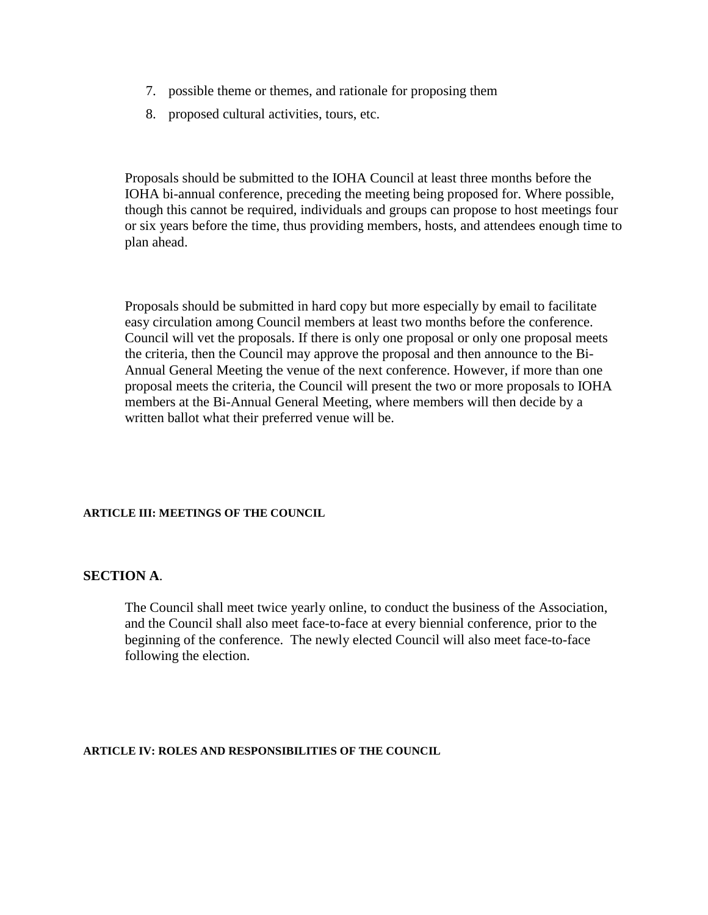- 7. possible theme or themes, and rationale for proposing them
- 8. proposed cultural activities, tours, etc.

Proposals should be submitted to the IOHA Council at least three months before the IOHA bi-annual conference, preceding the meeting being proposed for. Where possible, though this cannot be required, individuals and groups can propose to host meetings four or six years before the time, thus providing members, hosts, and attendees enough time to plan ahead.

Proposals should be submitted in hard copy but more especially by email to facilitate easy circulation among Council members at least two months before the conference. Council will vet the proposals. If there is only one proposal or only one proposal meets the criteria, then the Council may approve the proposal and then announce to the Bi-Annual General Meeting the venue of the next conference. However, if more than one proposal meets the criteria, the Council will present the two or more proposals to IOHA members at the Bi-Annual General Meeting, where members will then decide by a written ballot what their preferred venue will be.

#### **ARTICLE III: MEETINGS OF THE COUNCIL**

#### **SECTION A**.

The Council shall meet twice yearly online, to conduct the business of the Association, and the Council shall also meet face-to-face at every biennial conference, prior to the beginning of the conference. The newly elected Council will also meet face-to-face following the election.

#### **ARTICLE IV: ROLES AND RESPONSIBILITIES OF THE COUNCIL**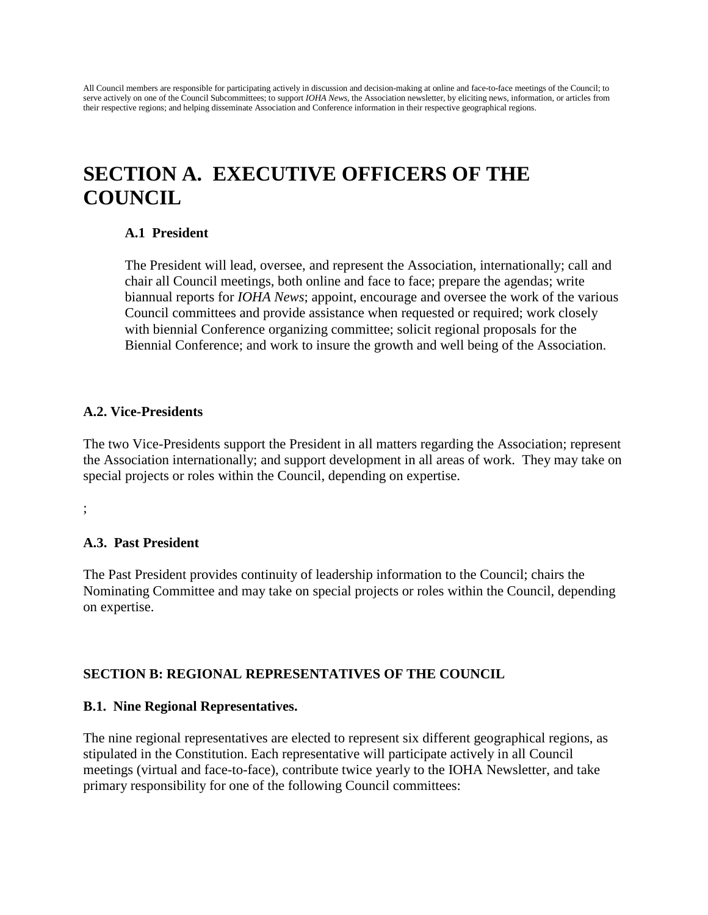All Council members are responsible for participating actively in discussion and decision-making at online and face-to-face meetings of the Council; to serve actively on one of the Council Subcommittees; to support *IOHA News*, the Association newsletter, by eliciting news, information, or articles from their respective regions; and helping disseminate Association and Conference information in their respective geographical regions.

# **SECTION A. EXECUTIVE OFFICERS OF THE COUNCIL**

#### **A.1 President**

The President will lead, oversee, and represent the Association, internationally; call and chair all Council meetings, both online and face to face; prepare the agendas; write biannual reports for *IOHA News*; appoint, encourage and oversee the work of the various Council committees and provide assistance when requested or required; work closely with biennial Conference organizing committee; solicit regional proposals for the Biennial Conference; and work to insure the growth and well being of the Association.

#### **A.2. Vice-Presidents**

The two Vice-Presidents support the President in all matters regarding the Association; represent the Association internationally; and support development in all areas of work. They may take on special projects or roles within the Council, depending on expertise.

;

### **A.3. Past President**

The Past President provides continuity of leadership information to the Council; chairs the Nominating Committee and may take on special projects or roles within the Council, depending on expertise.

### **SECTION B: REGIONAL REPRESENTATIVES OF THE COUNCIL**

#### **B.1. Nine Regional Representatives.**

The nine regional representatives are elected to represent six different geographical regions, as stipulated in the Constitution. Each representative will participate actively in all Council meetings (virtual and face-to-face), contribute twice yearly to the IOHA Newsletter, and take primary responsibility for one of the following Council committees: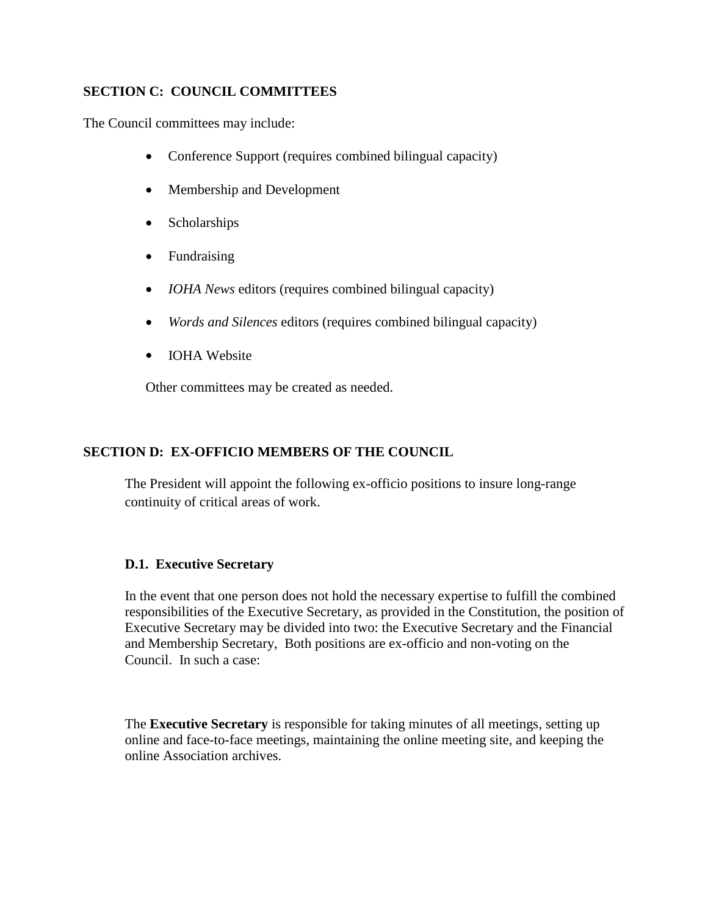## **SECTION C: COUNCIL COMMITTEES**

The Council committees may include:

- Conference Support (requires combined bilingual capacity)
- Membership and Development
- Scholarships
- Fundraising
- *IOHA News* editors (requires combined bilingual capacity)
- *Words and Silences* editors (requires combined bilingual capacity)
- IOHA Website

Other committees may be created as needed.

## **SECTION D: EX-OFFICIO MEMBERS OF THE COUNCIL**

The President will appoint the following ex-officio positions to insure long-range continuity of critical areas of work.

### **D.1. Executive Secretary**

In the event that one person does not hold the necessary expertise to fulfill the combined responsibilities of the Executive Secretary, as provided in the Constitution, the position of Executive Secretary may be divided into two: the Executive Secretary and the Financial and Membership Secretary, Both positions are ex-officio and non-voting on the Council. In such a case:

The **Executive Secretary** is responsible for taking minutes of all meetings, setting up online and face-to-face meetings, maintaining the online meeting site, and keeping the online Association archives.